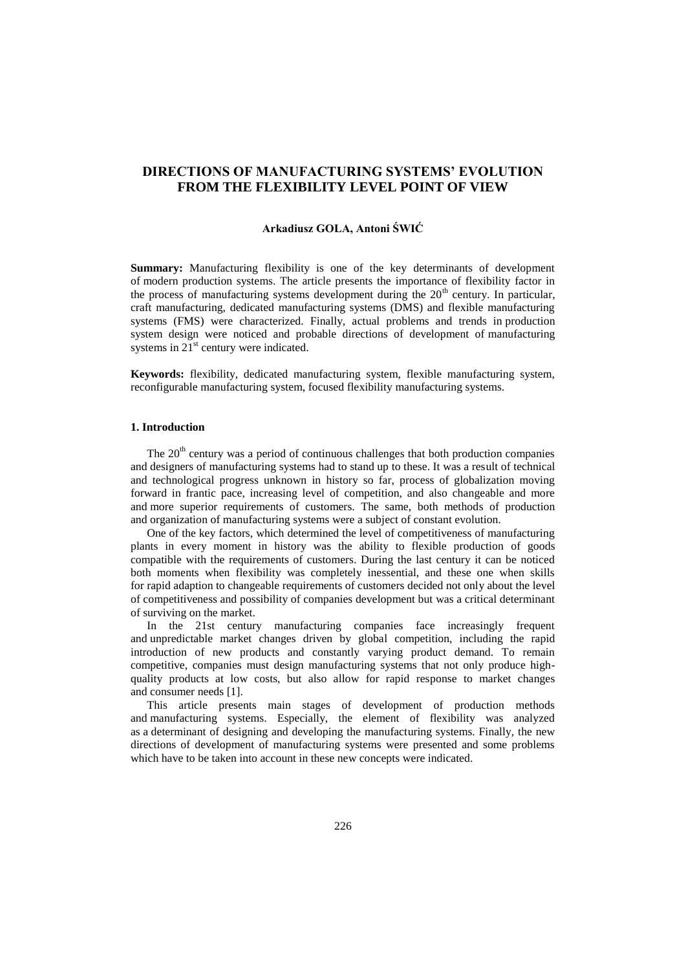# **DIRECTIONS OF MANUFACTURING SYSTEMS' EVOLUTION FROM THE FLEXIBILITY LEVEL POINT OF VIEW**

# **Arkadiusz GOLA, Antoni ŚWIĆ**

**Summary:** Manufacturing flexibility is one of the key determinants of development of modern production systems. The article presents the importance of flexibility factor in the process of manufacturing systems development during the  $20<sup>th</sup>$  century. In particular, craft manufacturing, dedicated manufacturing systems (DMS) and flexible manufacturing systems (FMS) were characterized. Finally, actual problems and trends in production system design were noticed and probable directions of development of manufacturing systems in  $21<sup>st</sup>$  century were indicated.

**Keywords:** flexibility, dedicated manufacturing system, flexible manufacturing system, reconfigurable manufacturing system, focused flexibility manufacturing systems.

# **1. Introduction**

The  $20<sup>th</sup>$  century was a period of continuous challenges that both production companies and designers of manufacturing systems had to stand up to these. It was a result of technical and technological progress unknown in history so far, process of globalization moving forward in frantic pace, increasing level of competition, and also changeable and more and more superior requirements of customers. The same, both methods of production and organization of manufacturing systems were a subject of constant evolution.

One of the key factors, which determined the level of competitiveness of manufacturing plants in every moment in history was the ability to flexible production of goods compatible with the requirements of customers. During the last century it can be noticed both moments when flexibility was completely inessential, and these one when skills for rapid adaption to changeable requirements of customers decided not only about the level of competitiveness and possibility of companies development but was a critical determinant of surviving on the market.

In the 21st century manufacturing companies face increasingly frequent and unpredictable market changes driven by global competition, including the rapid introduction of new products and constantly varying product demand. To remain competitive, companies must design manufacturing systems that not only produce highquality products at low costs, but also allow for rapid response to market changes and consumer needs [1].

This article presents main stages of development of production methods and manufacturing systems. Especially, the element of flexibility was analyzed as a determinant of designing and developing the manufacturing systems. Finally, the new directions of development of manufacturing systems were presented and some problems which have to be taken into account in these new concepts were indicated.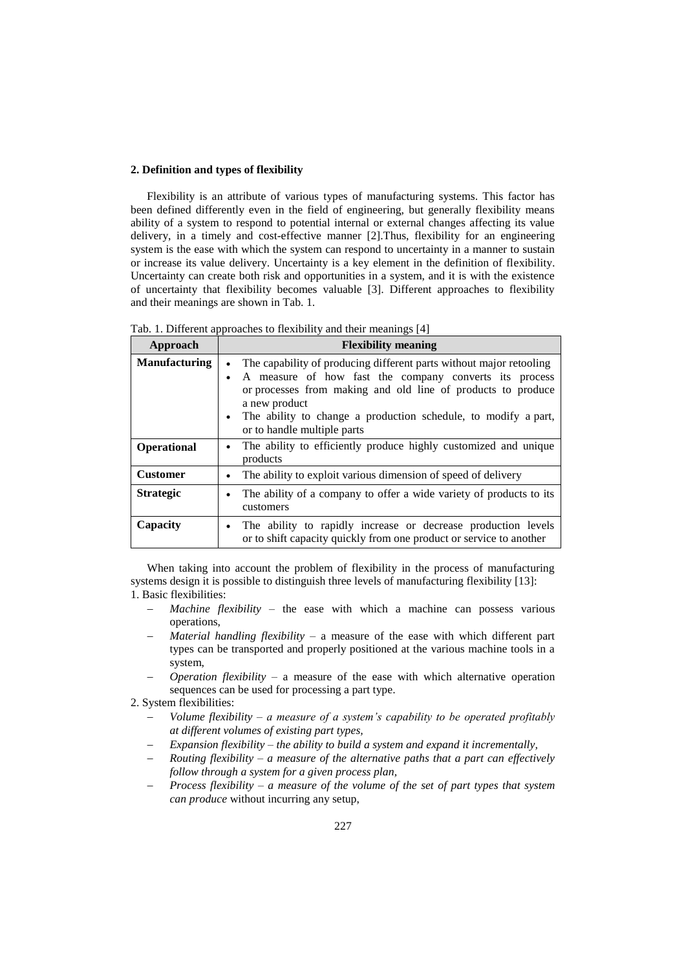# **2. Definition and types of flexibility**

Flexibility is an attribute of various types of manufacturing systems. This factor has been defined differently even in the field of engineering, but generally flexibility means ability of a system to respond to potential internal or external changes affecting its value delivery, in a timely and cost-effective manner [2].Thus, flexibility for an engineering system is the ease with which the system can respond to uncertainty in a manner to sustain or increase its value delivery. Uncertainty is a key element in the definition of flexibility. Uncertainty can create both risk and opportunities in a system, and it is with the existence of uncertainty that flexibility becomes valuable [3]. Different approaches to flexibility and their meanings are shown in Tab. 1.

Tab. 1. Different approaches to flexibility and their meanings [4]

| Approach             | <b>Flexibility meaning</b>                                                                                                                                                                                                                                                                                                   |  |  |
|----------------------|------------------------------------------------------------------------------------------------------------------------------------------------------------------------------------------------------------------------------------------------------------------------------------------------------------------------------|--|--|
| <b>Manufacturing</b> | The capability of producing different parts without major retooling<br>$\bullet$<br>A measure of how fast the company converts its process<br>or processes from making and old line of products to produce<br>a new product<br>The ability to change a production schedule, to modify a part,<br>or to handle multiple parts |  |  |
| <b>Operational</b>   | The ability to efficiently produce highly customized and unique<br>$\bullet$<br>products                                                                                                                                                                                                                                     |  |  |
| <b>Customer</b>      | The ability to exploit various dimension of speed of delivery<br>٠                                                                                                                                                                                                                                                           |  |  |
| <b>Strategic</b>     | The ability of a company to offer a wide variety of products to its<br>customers                                                                                                                                                                                                                                             |  |  |
| Capacity             | The ability to rapidly increase or decrease production levels<br>or to shift capacity quickly from one product or service to another                                                                                                                                                                                         |  |  |

When taking into account the problem of flexibility in the process of manufacturing systems design it is possible to distinguish three levels of manufacturing flexibility [13]: 1. Basic flexibilities:

- *Machine flexibility*  the ease with which a machine can possess various operations,
- *Material handling flexibility*  a measure of the ease with which different part types can be transported and properly positioned at the various machine tools in a system,
- *Operation flexibility*  a measure of the ease with which alternative operation sequences can be used for processing a part type.
- 2. System flexibilities:
	- *Volume flexibility – a measure of a system's capability to be operated profitably at different volumes of existing part types,*
	- *Expansion flexibility – the ability to build a system and expand it incrementally,*
	- *Routing flexibility – a measure of the alternative paths that a part can effectively follow through a system for a given process plan,*
	- *Process flexibility – a measure of the volume of the set of part types that system can produce* without incurring any setup,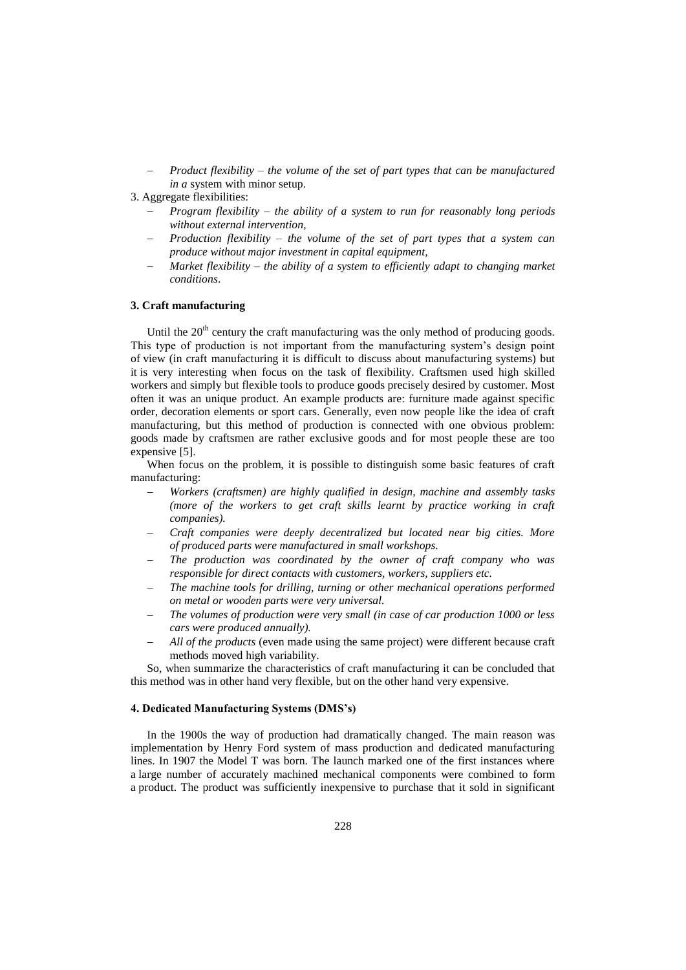- *Product flexibility – the volume of the set of part types that can be manufactured in a* system with minor setup.
- 3. Aggregate flexibilities:
	- *Program flexibility – the ability of a system to run for reasonably long periods without external intervention,*
	- *Production flexibility – the volume of the set of part types that a system can produce without major investment in capital equipment,*
	- *Market flexibility – the ability of a system to efficiently adapt to changing market conditions*.

### **3. Craft manufacturing**

Until the  $20<sup>th</sup>$  century the craft manufacturing was the only method of producing goods. This type of production is not important from the manufacturing system"s design point of view (in craft manufacturing it is difficult to discuss about manufacturing systems) but it is very interesting when focus on the task of flexibility. Craftsmen used high skilled workers and simply but flexible tools to produce goods precisely desired by customer. Most often it was an unique product. An example products are: furniture made against specific order, decoration elements or sport cars. Generally, even now people like the idea of craft manufacturing, but this method of production is connected with one obvious problem: goods made by craftsmen are rather exclusive goods and for most people these are too expensive [5].

When focus on the problem, it is possible to distinguish some basic features of craft manufacturing:

- *Workers (craftsmen) are highly qualified in design, machine and assembly tasks*  (more of the workers to get craft skills learnt by practice working in craft *companies).*
- *Craft companies were deeply decentralized but located near big cities. More of produced parts were manufactured in small workshops.*
- *The production was coordinated by the owner of craft company who was responsible for direct contacts with customers, workers, suppliers etc.*
- *The machine tools for drilling, turning or other mechanical operations performed on metal or wooden parts were very universal.*
- *The volumes of production were very small (in case of car production 1000 or less cars were produced annually).*
- *All of the products* (even made using the same project) were different because craft methods moved high variability.

So, when summarize the characteristics of craft manufacturing it can be concluded that this method was in other hand very flexible, but on the other hand very expensive.

### **4. Dedicated Manufacturing Systems (DMS's)**

In the 1900s the way of production had dramatically changed. The main reason was implementation by Henry Ford system of mass production and dedicated manufacturing lines. In 1907 the Model T was born. The launch marked one of the first instances where a large number of accurately machined mechanical components were combined to form a product. The product was sufficiently inexpensive to purchase that it sold in significant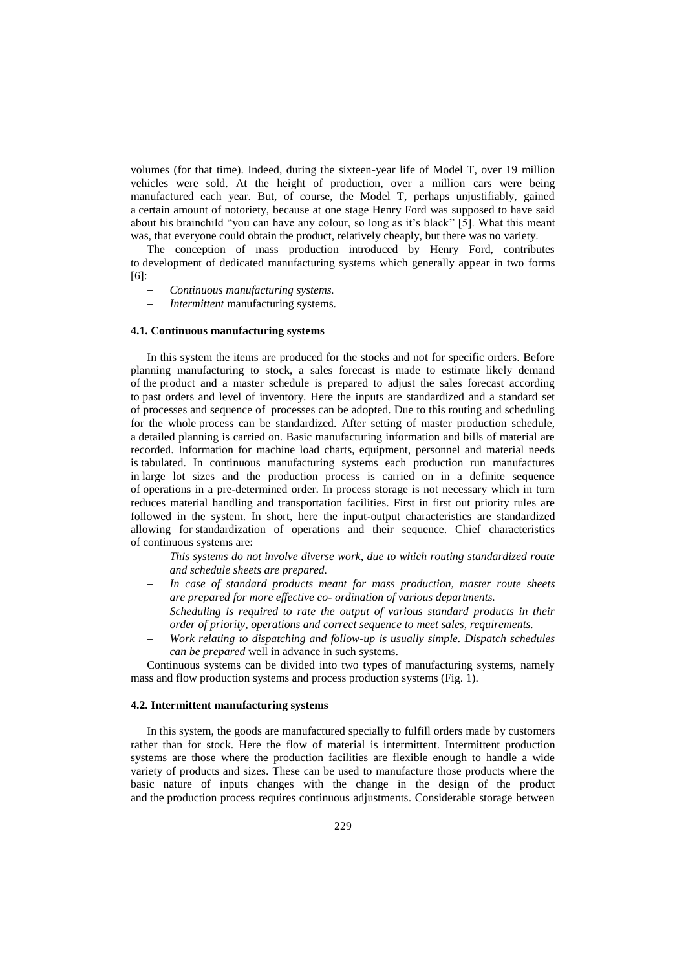volumes (for that time). Indeed, during the sixteen-year life of Model T, over 19 million vehicles were sold. At the height of production, over a million cars were being manufactured each year. But, of course, the Model T, perhaps unjustifiably, gained a certain amount of notoriety, because at one stage Henry Ford was supposed to have said about his brainchild "you can have any colour, so long as it"s black" [5]. What this meant was, that everyone could obtain the product, relatively cheaply, but there was no variety.

The conception of mass production introduced by Henry Ford, contributes to development of dedicated manufacturing systems which generally appear in two forms [6]:

- *Continuous manufacturing systems.*
- *Intermittent* manufacturing systems.

#### **4.1. Continuous manufacturing systems**

In this system the items are produced for the stocks and not for specific orders. Before planning manufacturing to stock, a sales forecast is made to estimate likely demand of the product and a master schedule is prepared to adjust the sales forecast according to past orders and level of inventory. Here the inputs are standardized and a standard set of processes and sequence of processes can be adopted. Due to this routing and scheduling for the whole process can be standardized. After setting of master production schedule, a detailed planning is carried on. Basic manufacturing information and bills of material are recorded. Information for machine load charts, equipment, personnel and material needs is tabulated. In continuous manufacturing systems each production run manufactures in large lot sizes and the production process is carried on in a definite sequence of operations in a pre-determined order. In process storage is not necessary which in turn reduces material handling and transportation facilities. First in first out priority rules are followed in the system. In short, here the input-output characteristics are standardized allowing for standardization of operations and their sequence. Chief characteristics of continuous systems are:

- *This systems do not involve diverse work, due to which routing standardized route and schedule sheets are prepared.*
- *In case of standard products meant for mass production, master route sheets are prepared for more effective co- ordination of various departments.*
- *Scheduling is required to rate the output of various standard products in their order of priority, operations and correct sequence to meet sales, requirements.*
- *Work relating to dispatching and follow-up is usually simple. Dispatch schedules can be prepared* well in advance in such systems.

Continuous systems can be divided into two types of manufacturing systems, namely mass and flow production systems and process production systems (Fig. 1).

# **4.2. Intermittent manufacturing systems**

In this system, the goods are manufactured specially to fulfill orders made by customers rather than for stock. Here the flow of material is intermittent. Intermittent production systems are those where the production facilities are flexible enough to handle a wide variety of products and sizes. These can be used to manufacture those products where the basic nature of inputs changes with the change in the design of the product and the production process requires continuous adjustments. Considerable storage between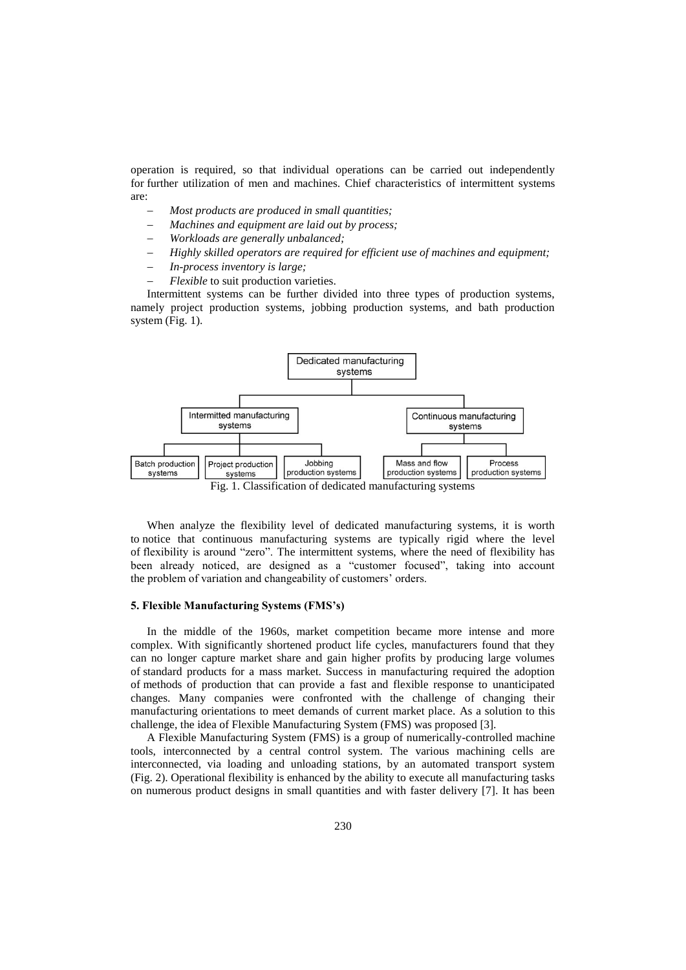operation is required, so that individual operations can be carried out independently for further utilization of men and machines. Chief characteristics of intermittent systems are:

- *Most products are produced in small quantities;*
- *Machines and equipment are laid out by process;*
- *Workloads are generally unbalanced;*
- *Highly skilled operators are required for efficient use of machines and equipment;*
- *In-process inventory is large;*
- *Flexible* to suit production varieties.

Intermittent systems can be further divided into three types of production systems, namely project production systems, jobbing production systems, and bath production system (Fig. 1).



When analyze the flexibility level of dedicated manufacturing systems, it is worth to notice that continuous manufacturing systems are typically rigid where the level of flexibility is around "zero". The intermittent systems, where the need of flexibility has been already noticed, are designed as a "customer focused", taking into account the problem of variation and changeability of customers' orders.

### **5. Flexible Manufacturing Systems (FMS's)**

In the middle of the 1960s, market competition became more intense and more complex. With significantly shortened product life cycles, manufacturers found that they can no longer capture market share and gain higher profits by producing large volumes of standard products for a mass market. Success in manufacturing required the adoption of methods of production that can provide a fast and flexible response to unanticipated changes. Many companies were confronted with the challenge of changing their manufacturing orientations to meet demands of current market place. As a solution to this challenge, the idea of Flexible Manufacturing System (FMS) was proposed [3].

A Flexible Manufacturing System (FMS) is a group of numerically-controlled machine tools, interconnected by a central control system. The various machining cells are interconnected, via loading and unloading stations, by an automated transport system (Fig. 2). Operational flexibility is enhanced by the ability to execute all manufacturing tasks on numerous product designs in small quantities and with faster delivery [7]. It has been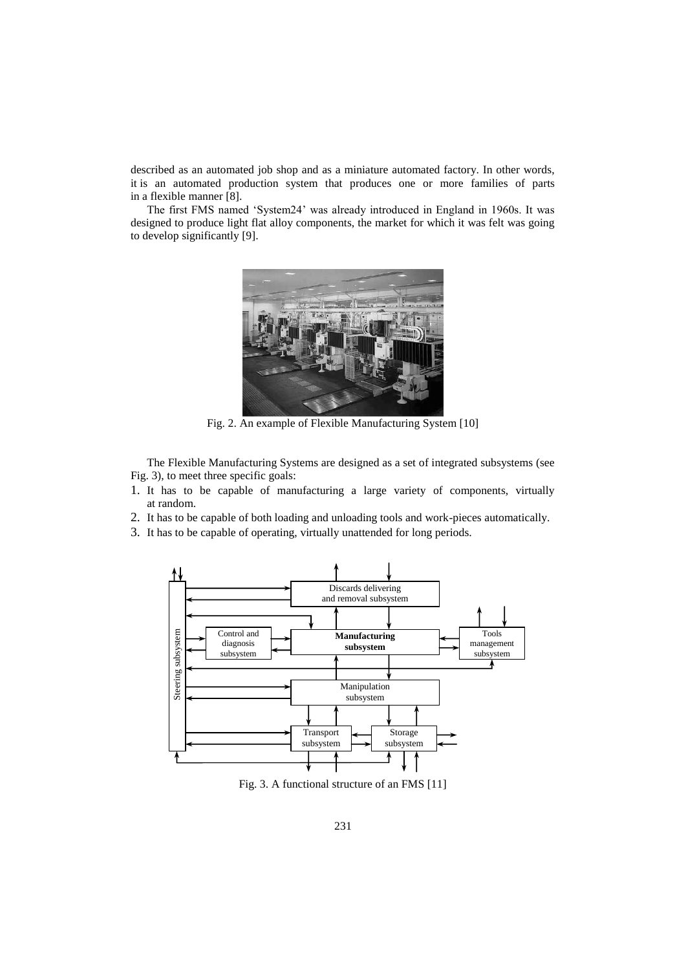described as an automated job shop and as a miniature automated factory. In other words, it is an automated production system that produces one or more families of parts in a flexible manner [8].

The first FMS named "System24" was already introduced in England in 1960s. It was designed to produce light flat alloy components, the market for which it was felt was going to develop significantly [9].



Fig. 2. An example of Flexible Manufacturing System [10]

The Flexible Manufacturing Systems are designed as a set of integrated subsystems (see Fig. 3), to meet three specific goals:

- 1. It has to be capable of manufacturing a large variety of components, virtually at random.
- 2. It has to be capable of both loading and unloading tools and work-pieces automatically.
- 3. It has to be capable of operating, virtually unattended for long periods.



Fig. 3. A functional structure of an FMS [11]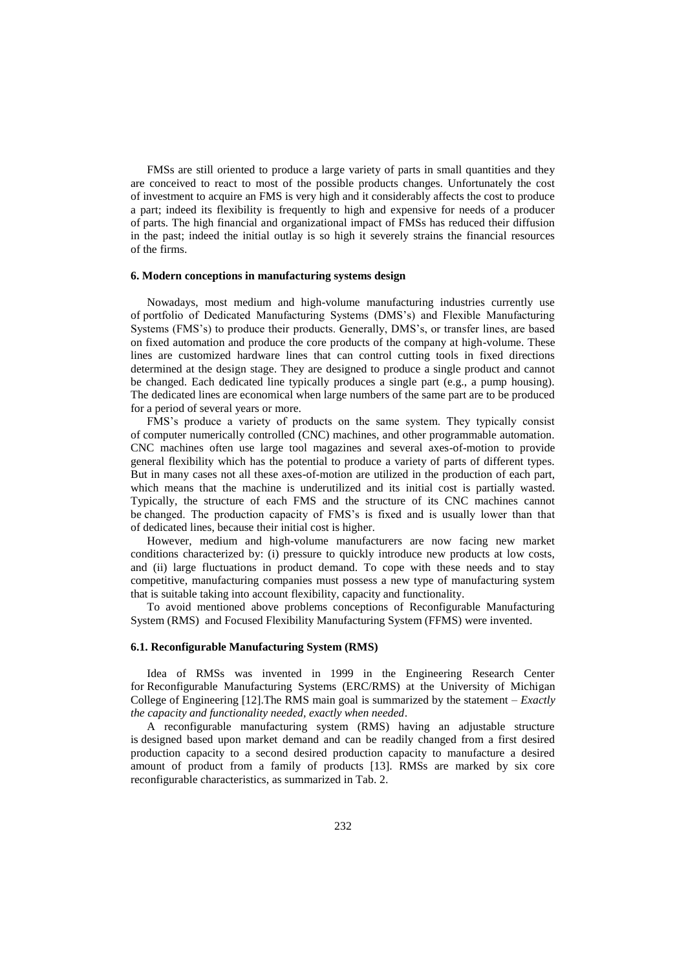FMSs are still oriented to produce a large variety of parts in small quantities and they are conceived to react to most of the possible products changes. Unfortunately the cost of investment to acquire an FMS is very high and it considerably affects the cost to produce a part; indeed its flexibility is frequently to high and expensive for needs of a producer of parts. The high financial and organizational impact of FMSs has reduced their diffusion in the past; indeed the initial outlay is so high it severely strains the financial resources of the firms.

#### **6. Modern conceptions in manufacturing systems design**

Nowadays, most medium and high-volume manufacturing industries currently use of portfolio of Dedicated Manufacturing Systems (DMS"s) and Flexible Manufacturing Systems (FMS"s) to produce their products. Generally, DMS"s, or transfer lines, are based on fixed automation and produce the core products of the company at high-volume. These lines are customized hardware lines that can control cutting tools in fixed directions determined at the design stage. They are designed to produce a single product and cannot be changed. Each dedicated line typically produces a single part (e.g., a pump housing). The dedicated lines are economical when large numbers of the same part are to be produced for a period of several years or more.

FMS"s produce a variety of products on the same system. They typically consist of computer numerically controlled (CNC) machines, and other programmable automation. CNC machines often use large tool magazines and several axes-of-motion to provide general flexibility which has the potential to produce a variety of parts of different types. But in many cases not all these axes-of-motion are utilized in the production of each part, which means that the machine is underutilized and its initial cost is partially wasted. Typically, the structure of each FMS and the structure of its CNC machines cannot be changed. The production capacity of FMS"s is fixed and is usually lower than that of dedicated lines, because their initial cost is higher.

However, medium and high-volume manufacturers are now facing new market conditions characterized by: (i) pressure to quickly introduce new products at low costs, and (ii) large fluctuations in product demand. To cope with these needs and to stay competitive, manufacturing companies must possess a new type of manufacturing system that is suitable taking into account flexibility, capacity and functionality.

To avoid mentioned above problems conceptions of Reconfigurable Manufacturing System (RMS) and Focused Flexibility Manufacturing System (FFMS) were invented.

### **6.1. Reconfigurable Manufacturing System (RMS)**

Idea of RMSs was invented in 1999 in the Engineering Research Center for Reconfigurable Manufacturing Systems (ERC/RMS) at the University of Michigan College of Engineering [12].The RMS main goal is summarized by the statement – *Exactly the capacity and functionality needed, exactly when needed*.

A reconfigurable manufacturing system (RMS) having an adjustable structure is designed based upon market demand and can be readily changed from a first desired production capacity to a second desired production capacity to manufacture a desired amount of product from a family of products [13]. RMSs are marked by six core reconfigurable characteristics, as summarized in Tab. 2.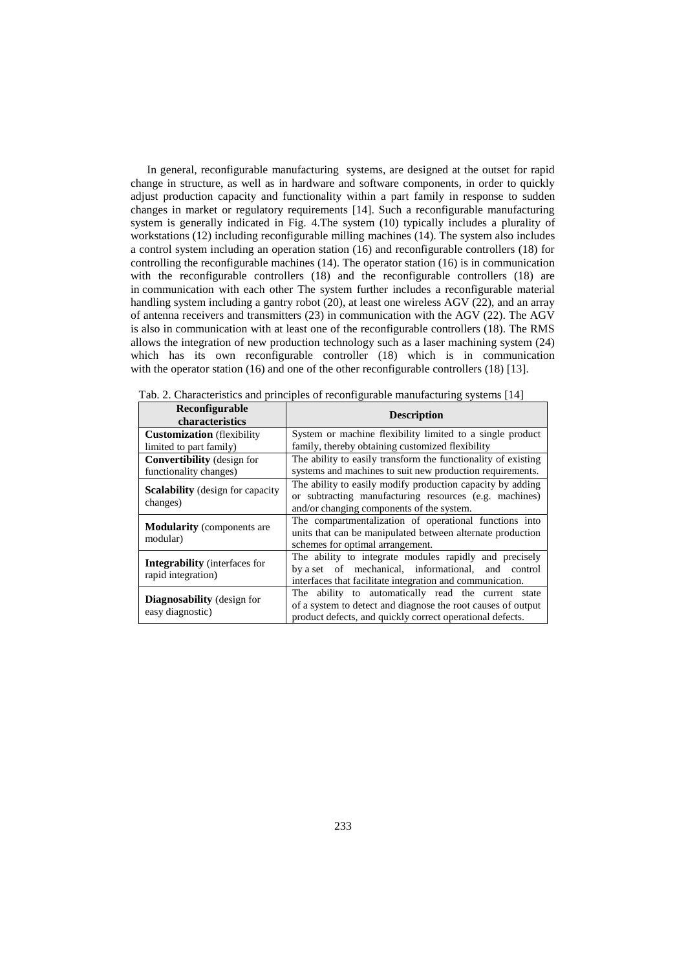In general, reconfigurable manufacturing systems, are designed at the outset for rapid change in structure, as well as in hardware and software components, in order to quickly adjust production capacity and functionality within a part family in response to sudden changes in market or regulatory requirements [14]. Such a reconfigurable manufacturing system is generally indicated in Fig. 4.The system (10) typically includes a plurality of workstations (12) including reconfigurable milling machines (14). The system also includes a control system including an operation station (16) and reconfigurable controllers (18) for controlling the reconfigurable machines (14). The operator station (16) is in communication with the reconfigurable controllers (18) and the reconfigurable controllers (18) are in communication with each other The system further includes a reconfigurable material handling system including a gantry robot (20), at least one wireless AGV (22), and an array of antenna receivers and transmitters (23) in communication with the AGV (22). The AGV is also in communication with at least one of the reconfigurable controllers (18). The RMS allows the integration of new production technology such as a laser machining system (24) which has its own reconfigurable controller (18) which is in communication with the operator station (16) and one of the other reconfigurable controllers (18) [13].

| Reconfigurable<br>characteristics                             | <b>Description</b>                                                                                                                                                               |  |  |
|---------------------------------------------------------------|----------------------------------------------------------------------------------------------------------------------------------------------------------------------------------|--|--|
| <b>Customization</b> (flexibility)<br>limited to part family) | System or machine flexibility limited to a single product<br>family, thereby obtaining customized flexibility                                                                    |  |  |
| <b>Convertibility</b> (design for<br>functionality changes)   | The ability to easily transform the functionality of existing<br>systems and machines to suit new production requirements.                                                       |  |  |
| <b>Scalability</b> (design for capacity)<br>changes)          | The ability to easily modify production capacity by adding<br>or subtracting manufacturing resources (e.g. machines)<br>and/or changing components of the system.                |  |  |
| <b>Modularity</b> (components are<br>modular)                 | The compartmentalization of operational functions into<br>units that can be manipulated between alternate production<br>schemes for optimal arrangement.                         |  |  |
| <b>Integrability</b> (interfaces for<br>rapid integration)    | The ability to integrate modules rapidly and precisely<br>by a set of mechanical, informational,<br>and control<br>interfaces that facilitate integration and communication.     |  |  |
| <b>Diagnosability</b> (design for<br>easy diagnostic)         | The ability to automatically read the current state<br>of a system to detect and diagnose the root causes of output<br>product defects, and quickly correct operational defects. |  |  |

Tab. 2. Characteristics and principles of reconfigurable manufacturing systems [14]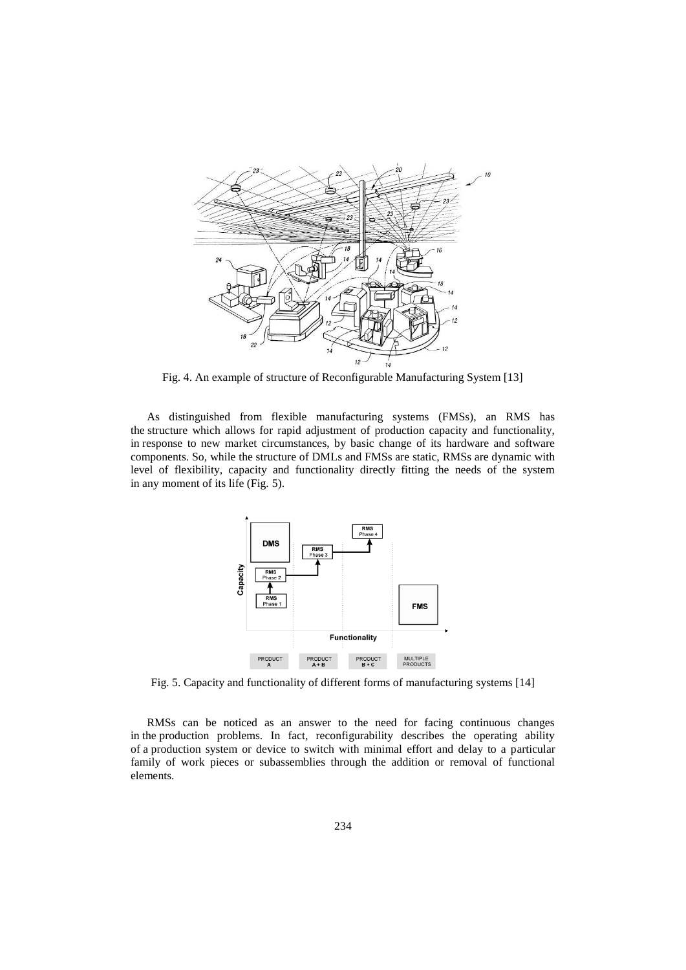

Fig. 4. An example of structure of Reconfigurable Manufacturing System [13]

As distinguished from flexible manufacturing systems (FMSs), an RMS has the structure which allows for rapid adjustment of production capacity and functionality, in response to new market circumstances, by basic change of its hardware and software components. So, while the structure of DMLs and FMSs are static, RMSs are dynamic with level of flexibility, capacity and functionality directly fitting the needs of the system in any moment of its life (Fig. 5).



Fig. 5. Capacity and functionality of different forms of manufacturing systems [14]

RMSs can be noticed as an answer to the need for facing continuous changes in the production problems. In fact, reconfigurability describes the operating ability of a production system or device to switch with minimal effort and delay to a particular family of work pieces or subassemblies through the addition or removal of functional elements.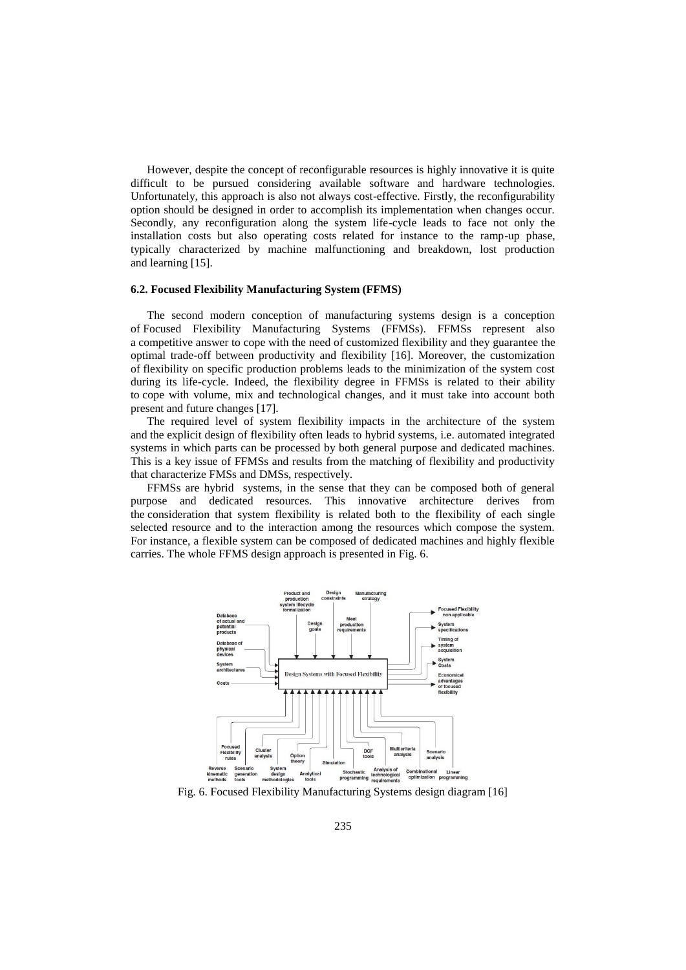However, despite the concept of reconfigurable resources is highly innovative it is quite difficult to be pursued considering available software and hardware technologies. Unfortunately, this approach is also not always cost-effective. Firstly, the reconfigurability option should be designed in order to accomplish its implementation when changes occur. Secondly, any reconfiguration along the system life-cycle leads to face not only the installation costs but also operating costs related for instance to the ramp-up phase, typically characterized by machine malfunctioning and breakdown, lost production and learning [15].

#### **6.2. Focused Flexibility Manufacturing System (FFMS)**

The second modern conception of manufacturing systems design is a conception of Focused Flexibility Manufacturing Systems (FFMSs). FFMSs represent also a competitive answer to cope with the need of customized flexibility and they guarantee the optimal trade-off between productivity and flexibility [16]. Moreover, the customization of flexibility on specific production problems leads to the minimization of the system cost during its life-cycle. Indeed, the flexibility degree in FFMSs is related to their ability to cope with volume, mix and technological changes, and it must take into account both present and future changes [17].

The required level of system flexibility impacts in the architecture of the system and the explicit design of flexibility often leads to hybrid systems, i.e. automated integrated systems in which parts can be processed by both general purpose and dedicated machines. This is a key issue of FFMSs and results from the matching of flexibility and productivity that characterize FMSs and DMSs, respectively.

FFMSs are hybrid systems, in the sense that they can be composed both of general purpose and dedicated resources. This innovative architecture derives from the consideration that system flexibility is related both to the flexibility of each single selected resource and to the interaction among the resources which compose the system. For instance, a flexible system can be composed of dedicated machines and highly flexible carries. The whole FFMS design approach is presented in Fig. 6.



Fig. 6. Focused Flexibility Manufacturing Systems design diagram [16]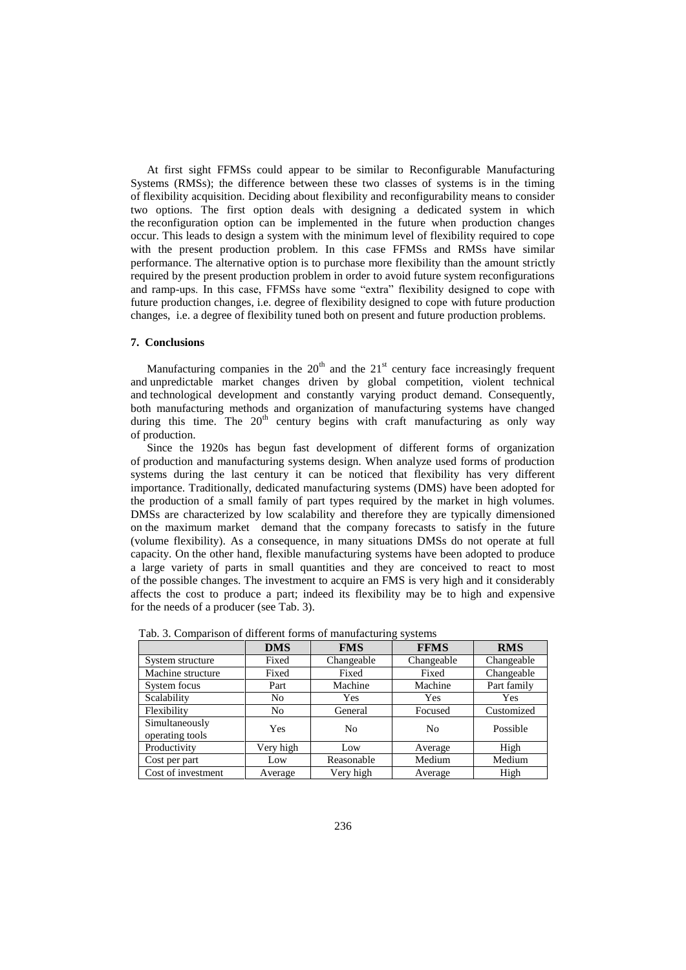At first sight FFMSs could appear to be similar to Reconfigurable Manufacturing Systems (RMSs); the difference between these two classes of systems is in the timing of flexibility acquisition. Deciding about flexibility and reconfigurability means to consider two options. The first option deals with designing a dedicated system in which the reconfiguration option can be implemented in the future when production changes occur. This leads to design a system with the minimum level of flexibility required to cope with the present production problem. In this case FFMSs and RMSs have similar performance. The alternative option is to purchase more flexibility than the amount strictly required by the present production problem in order to avoid future system reconfigurations and ramp-ups. In this case, FFMSs have some "extra" flexibility designed to cope with future production changes, i.e. degree of flexibility designed to cope with future production changes, i.e. a degree of flexibility tuned both on present and future production problems.

#### **7. Conclusions**

Manufacturing companies in the  $20<sup>th</sup>$  and the  $21<sup>st</sup>$  century face increasingly frequent and unpredictable market changes driven by global competition, violent technical and technological development and constantly varying product demand. Consequently, both manufacturing methods and organization of manufacturing systems have changed during this time. The  $20<sup>th</sup>$  century begins with craft manufacturing as only way of production.

Since the 1920s has begun fast development of different forms of organization of production and manufacturing systems design. When analyze used forms of production systems during the last century it can be noticed that flexibility has very different importance. Traditionally, dedicated manufacturing systems (DMS) have been adopted for the production of a small family of part types required by the market in high volumes. DMSs are characterized by low scalability and therefore they are typically dimensioned on the maximum market demand that the company forecasts to satisfy in the future (volume flexibility). As a consequence, in many situations DMSs do not operate at full capacity. On the other hand, flexible manufacturing systems have been adopted to produce a large variety of parts in small quantities and they are conceived to react to most of the possible changes. The investment to acquire an FMS is very high and it considerably affects the cost to produce a part; indeed its flexibility may be to high and expensive for the needs of a producer (see Tab. 3).

|                                   | <b>DMS</b>     | <b>FMS</b>     | <b>FFMS</b>    | <b>RMS</b>  |
|-----------------------------------|----------------|----------------|----------------|-------------|
| System structure                  | Fixed          | Changeable     | Changeable     | Changeable  |
| Machine structure                 | Fixed          | Fixed          | Fixed          | Changeable  |
| System focus                      | Part           | Machine        | Machine        | Part family |
| Scalability                       | No             | Yes            | Yes            | <b>Yes</b>  |
| Flexibility                       | N <sub>0</sub> | General        | Focused        | Customized  |
| Simultaneously<br>operating tools | Yes            | N <sub>0</sub> | N <sub>0</sub> | Possible    |
| Productivity                      | Very high      | Low            | Average        | High        |
| Cost per part                     | Low            | Reasonable     | Medium         | Medium      |
| Cost of investment                | Average        | Very high      | Average        | High        |

Tab. 3. Comparison of different forms of manufacturing systems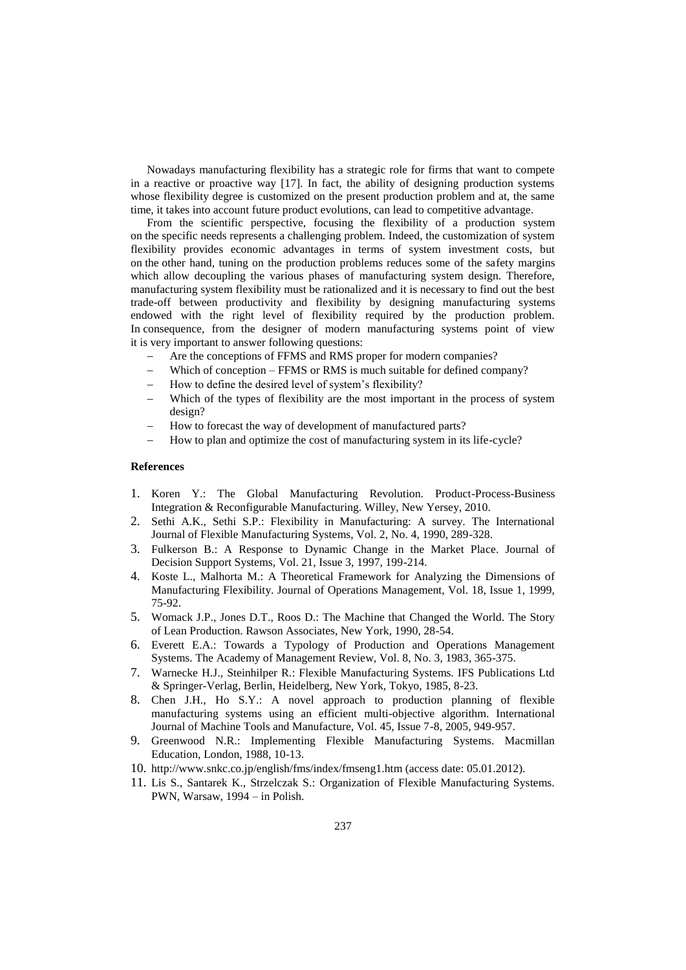Nowadays manufacturing flexibility has a strategic role for firms that want to compete in a reactive or proactive way [17]. In fact, the ability of designing production systems whose flexibility degree is customized on the present production problem and at, the same time, it takes into account future product evolutions, can lead to competitive advantage.

From the scientific perspective, focusing the flexibility of a production system on the specific needs represents a challenging problem. Indeed, the customization of system flexibility provides economic advantages in terms of system investment costs, but on the other hand, tuning on the production problems reduces some of the safety margins which allow decoupling the various phases of manufacturing system design. Therefore, manufacturing system flexibility must be rationalized and it is necessary to find out the best trade-off between productivity and flexibility by designing manufacturing systems endowed with the right level of flexibility required by the production problem. In consequence, from the designer of modern manufacturing systems point of view it is very important to answer following questions:

- Are the conceptions of FFMS and RMS proper for modern companies?
- Which of conception FFMS or RMS is much suitable for defined company?
- How to define the desired level of system's flexibility?
- Which of the types of flexibility are the most important in the process of system design?
- How to forecast the way of development of manufactured parts?
- How to plan and optimize the cost of manufacturing system in its life-cycle?

### **References**

- 1. Koren Y.: The Global Manufacturing Revolution. Product-Process-Business Integration & Reconfigurable Manufacturing. Willey, New Yersey, 2010.
- 2. Sethi A.K., Sethi S.P.: Flexibility in Manufacturing: A survey. The International Journal of Flexible Manufacturing Systems, Vol. 2, No. 4, 1990, 289-328.
- 3. Fulkerson B.: A Response to Dynamic Change in the Market Place. Journal of Decision Support Systems, Vol. 21, Issue 3, 1997, 199-214.
- 4. Koste L., Malhorta M.: A Theoretical Framework for Analyzing the Dimensions of Manufacturing Flexibility. Journal of Operations Management, Vol. 18, Issue 1, 1999, 75-92.
- 5. Womack J.P., Jones D.T., Roos D.: The Machine that Changed the World. The Story of Lean Production. Rawson Associates, New York, 1990, 28-54.
- 6. Everett E.A.: Towards a Typology of Production and Operations Management Systems. The Academy of Management Review, Vol. 8, No. 3, 1983, 365-375.
- 7. Warnecke H.J., Steinhilper R.: Flexible Manufacturing Systems. IFS Publications Ltd & Springer-Verlag, Berlin, Heidelberg, New York, Tokyo, 1985, 8-23.
- 8. Chen J.H., Ho S.Y.: A novel approach to production planning of flexible manufacturing systems using an efficient multi-objective algorithm. International Journal of Machine Tools and Manufacture, Vol. 45, Issue 7-8, 2005, 949-957.
- 9. Greenwood N.R.: Implementing Flexible Manufacturing Systems. Macmillan Education, London, 1988, 10-13.
- 10. http://www.snkc.co.jp/english/fms/index/fmseng1.htm (access date: 05.01.2012).
- 11. Lis S., Santarek K., Strzelczak S.: Organization of Flexible Manufacturing Systems. PWN, Warsaw, 1994 – in Polish.